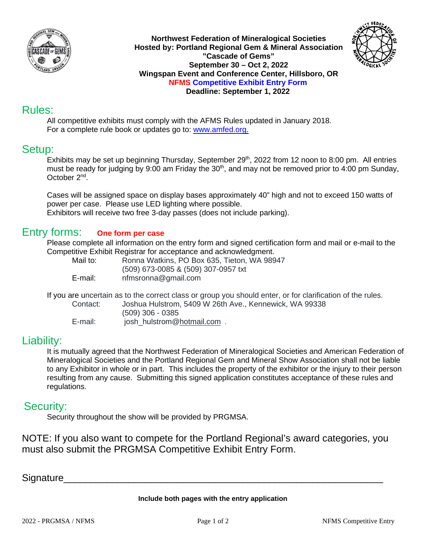

**Northwest Federation of Mineralogical Societies Hosted by: Portland Regional Gem & Mineral Association "Cascade of Gems" September 30 – Oct 2, 2022 Wingspan Event and Conference Center, Hillsboro, OR NFMS Competitive Exhibit Entry Form Deadline: September 1, 2022**



All competitive exhibits must comply with the AFMS Rules updated in January 2018. For a complete rule book or updates go to: [www.amfed.org.](http://www.amfed.org/)

## Setup:

Exhibits may be set up beginning Thursday, September 29<sup>th</sup>, 2022 from 12 noon to 8:00 pm. All entries must be ready for judging by 9:00 am Friday the 30<sup>th</sup>, and may not be removed prior to 4:00 pm Sunday, October 2nd.

Cases will be assigned space on display bases approximately 40" high and not to exceed 150 watts of power per case. Please use LED lighting where possible.

Exhibitors will receive two free 3-day passes (does not include parking).

## Entry forms: **One form per case**

Please complete all information on the entry form and signed certification form and mail or e-mail to the Competitive Exhibit Registrar for acceptance and acknowledgment.

Mail to: Ronna Watkins, PO Box 635, Tieton, WA 98947 (509) 673-0085 & (509) 307-0957 txt E-mail: nfmsronna@gmail.com

If you are uncertain as to the correct class or group you should enter, or for clarification of the rules.

Contact: Joshua Hulstrom, 5409 W 26th Ave., Kennewick, WA 99338 (509) 306 - 0385 E-mail: josh\_hulstrom[@hotmail.com](http://hotmail.com/) .

## Liability:

It is mutually agreed that the Northwest Federation of Mineralogical Societies and American Federation of Mineralogical Societies and the Portland Regional Gem and Mineral Show Association shall not be liable to any Exhibitor in whole or in part. This includes the property of the exhibitor or the injury to their person resulting from any cause. Submitting this signed application constitutes acceptance of these rules and regulations.

## Security:

Security throughout the show will be provided by PRGMSA.

NOTE: If you also want to compete for the Portland Regional's award categories, you must also submit the PRGMSA Competitive Exhibit Entry Form.

Signature

**Include both pages with the entry application**